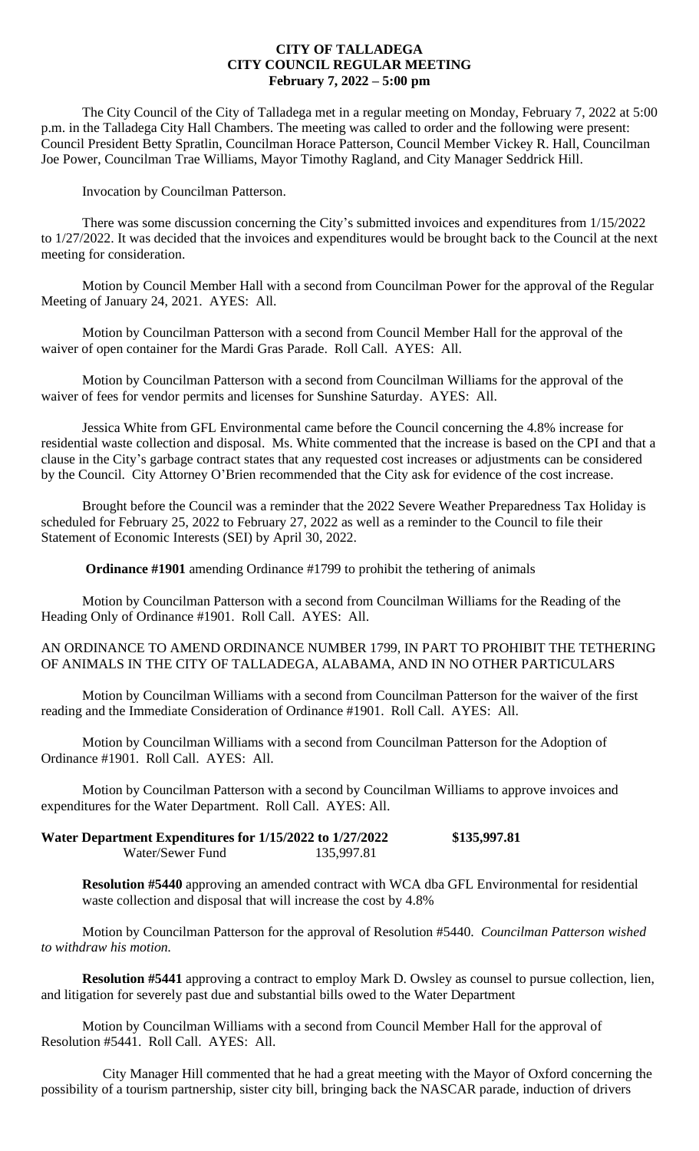## **CITY OF TALLADEGA CITY COUNCIL REGULAR MEETING February 7, 2022 – 5:00 pm**

The City Council of the City of Talladega met in a regular meeting on Monday, February 7, 2022 at 5:00 p.m. in the Talladega City Hall Chambers. The meeting was called to order and the following were present: Council President Betty Spratlin, Councilman Horace Patterson, Council Member Vickey R. Hall, Councilman Joe Power, Councilman Trae Williams, Mayor Timothy Ragland, and City Manager Seddrick Hill.

Invocation by Councilman Patterson.

There was some discussion concerning the City's submitted invoices and expenditures from 1/15/2022 to 1/27/2022. It was decided that the invoices and expenditures would be brought back to the Council at the next meeting for consideration.

Motion by Council Member Hall with a second from Councilman Power for the approval of the Regular Meeting of January 24, 2021. AYES: All.

Motion by Councilman Patterson with a second from Council Member Hall for the approval of the waiver of open container for the Mardi Gras Parade. Roll Call. AYES: All.

Motion by Councilman Patterson with a second from Councilman Williams for the approval of the waiver of fees for vendor permits and licenses for Sunshine Saturday. AYES: All.

Jessica White from GFL Environmental came before the Council concerning the 4.8% increase for residential waste collection and disposal. Ms. White commented that the increase is based on the CPI and that a clause in the City's garbage contract states that any requested cost increases or adjustments can be considered by the Council. City Attorney O'Brien recommended that the City ask for evidence of the cost increase.

Brought before the Council was a reminder that the 2022 Severe Weather Preparedness Tax Holiday is scheduled for February 25, 2022 to February 27, 2022 as well as a reminder to the Council to file their Statement of Economic Interests (SEI) by April 30, 2022.

**Ordinance #1901** amending Ordinance #1799 to prohibit the tethering of animals

Motion by Councilman Patterson with a second from Councilman Williams for the Reading of the Heading Only of Ordinance #1901. Roll Call. AYES: All.

AN ORDINANCE TO AMEND ORDINANCE NUMBER 1799, IN PART TO PROHIBIT THE TETHERING OF ANIMALS IN THE CITY OF TALLADEGA, ALABAMA, AND IN NO OTHER PARTICULARS

Motion by Councilman Williams with a second from Councilman Patterson for the waiver of the first reading and the Immediate Consideration of Ordinance #1901. Roll Call. AYES: All.

Motion by Councilman Williams with a second from Councilman Patterson for the Adoption of Ordinance #1901. Roll Call. AYES: All.

Motion by Councilman Patterson with a second by Councilman Williams to approve invoices and expenditures for the Water Department. Roll Call. AYES: All.

**Water Department Expenditures for 1/15/2022 to 1/27/2022 \$135,997.81**<br>Water/Sewer Fund 135.997.81 Water/Sewer Fund

**Resolution #5440** approving an amended contract with WCA dba GFL Environmental for residential waste collection and disposal that will increase the cost by 4.8%

Motion by Councilman Patterson for the approval of Resolution #5440. *Councilman Patterson wished to withdraw his motion.* 

**Resolution #5441** approving a contract to employ Mark D. Owsley as counsel to pursue collection, lien, and litigation for severely past due and substantial bills owed to the Water Department

Motion by Councilman Williams with a second from Council Member Hall for the approval of Resolution #5441. Roll Call. AYES: All.

City Manager Hill commented that he had a great meeting with the Mayor of Oxford concerning the possibility of a tourism partnership, sister city bill, bringing back the NASCAR parade, induction of drivers